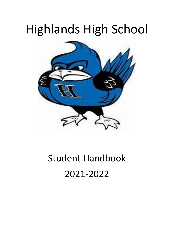# Highlands High School



# Student Handbook 2021-2022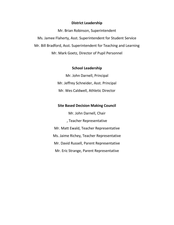# **District Leadership**

Mr. Brian Robinson, Superintendent Ms. Jamee Flaherty, Asst. Superintendent for Student Service Mr. Bill Bradford, Asst. Superintendent for Teaching and Learning Mr. Mark Goetz, Director of Pupil Personnel

# **School Leadership**

Mr. John Darnell, Principal Mr. Jeffrey Schneider, Asst. Principal Mr. Wes Caldwell, Athletic Director

# **Site Based Decision Making Council**

Mr. John Darnell, Chair , Teacher Representative Mr. Matt Ewald, Teacher Representative Ms. Jaime Richey, Teacher Representative Mr. David Russell, Parent Representative Mr. Eric Strange, Parent Representative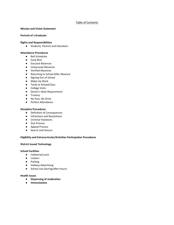# Table of Contents

#### **Mission and Vision Statement**

#### **Portrait of a Graduate**

#### **Rights and Responsibilities**

● Students, Parents and Educators

#### **Attendance Procedures**

- Bell Schedules
- Early Bird
- Excused Absences
- Unexcused Absences
- Verified Absences
- Returning to School After Absence
- Signing Out of School
- Make-Up Work
- Tardy to School/Class
- College Visits
- Doctor's Note Requirement
- Truancy
- No Pass, No Drive
- Perfect Attendance

#### **Discipline Procedures**

- Definition of Consequences
- Infractions and Resolutions
- Criminal Violations
- Due Process
- Appeal Process
- Search and Seizure

#### **Eligibility and Extracurricular/Activities Participation Procedures**

#### **District Issued Technology**

#### **School Facilities**

- Cafeteria/Lunch
- Lockers
- Parking
- Hallway Advertising
- School Use (during/after hours)

#### **Health Issues**

- **Dispensing of medication**
- **Immunization**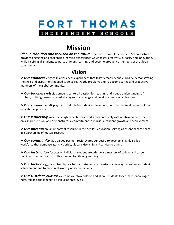

# **Mission**

*Rich in tradition and focused on the future,* the Fort Thomas Independent School District provides engaging and challenging learning experiences which foster creativity, curiosity and innovation, while inspiring all students to pursue lifelong learning and become productive members of the global community.

# **Vision Vision**

❖ *Our students* engage in a variety of experiences that foster creativity and curiosity, demonstrating the skills and dispositions needed to solve real-world problems and to become caring and productive members of the global community.

❖ *Our teachers* exhibit a student-centered passion for teaching and a deep understanding of content, utilizing research-based strategies to challenge and meet the needs of all learners.

❖ *Our support staff* plays a crucial role in student achievement, contributing to all aspects of the educational process.

❖ *Our leadership* maintains high expectations, works collaboratively with all stakeholders, focuses on a shared mission and demonstrates a commitment to individual student growth and achievement.

❖ *Our parents* are an important resource in their child's education, serving as essential participants in a partnership of mutual respect.

❖ *Our community*, as a valued partner, reciprocates our desire to develop a highly-skilled workforce that demonstrates civic pride, global citizenship and service to others.

❖ *Our instruction* focuses on individual student growth toward mastery of college and career readiness standards and instills a passion for lifelong learning.

❖ *Our technology* is utilized by teachers and students in transformative ways to enhance student achievement and to make real-world global connections.

❖ *Our District's culture* welcomes all stakeholders and allows students to feel safe, encouraged, nurtured and challenged to achieve at high levels.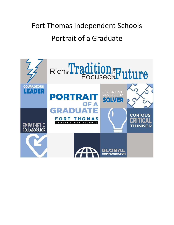# Fort Thomas Independent Schools Portrait of a Graduate

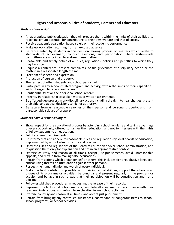# **Rights and Responsibilities of Students, Parents and Educators**

# *Students have a right to:*

- An appropriate public education that will prepare them, within the limits of their abilities, to reach maximum potential for contributing to their own welfare and that of society.
- Receive academic evaluation based solely on their academic performance.
- Make up work after returning from an excused absence.
- Be represented by students in the decision making process on matters which relate to standards of achievement, conduct, elections, and participation where system-wide committees are appointed to address these matters.
- Reasonable and timely notice of all rules, regulations, policies and penalties to which they may be subject.
- Request a conference, present complaints, or file grievances of disciplinary action or the matters in a reasonable length of time.
- Freedom of speech and expression.
- Protection of person and property.
- The respect of other students and school personnel.
- Participate in any school-related program and activity, within the limits of their capabilities, without regard to race, creed or sex.
- Confidentiality of all their personal school records.
- Integrity in relationship to spoken words or written assignments.
- Be afforded due process in any disciplinary action, including the right to hear charges, present their side, and appeal decisions to higher authority.
- Be secure from unreasonable searches of their person and personal property, and from unreasonable seizure of property.

# *Students have a responsibility to:*

- Show respect for the educational process by attending school regularly and taking advantage of every opportunity offered to further their education, and not to interfere with the rights of fellow students to an education.
- Fulfill academic requirements.
- Be informed of and adhere to reasonable rules and regulations by local boards of education, implemented by school administrators and teachers.
- Obey the rules and regulations of the Board of Education and/or school administration, and to question them only for explanation and not in an argumentative context.
- Exercise courtesy and reason at all times, accept just punishments, avoid unreasonable appeals, and refrain from making false accusations.
- Refrain from actions which endanger self or others; this includes fighting, abusive language, and/or using threats or intimidation against other persons.
- Respect the human dignity and worth of every individual.
- Make the best contribution possible with their individual abilities, support the school in all phases of its programs or activities, be punctual and present regularly in the program or activity, and behave in such a way that their participation will be contribution and not a detriment.
- Follow established procedures in requesting the release of their records.
- Represent the truth in all school matters, complete all assignments in accordance with their teachers' instructions, and refrain from cheating in any school activities.
- Exercise courtesy and reason at all times, and accept just punishment.
- Refrain from bringing any controlled substances, contraband or dangerous items to school, school programs, or school activities.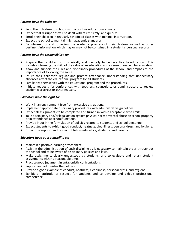# *Parents have the right to:*

- Send their children to schools with a positive educational climate.
- Expect that disruptions will be dealt with fairly, firmly, and quickly.
- Enroll their children in regularly scheduled classes with minimal interruption.
- Expect the school to maintain high academic standards.
- Be informed of and to review the academic progress of their children, as well as other pertinent information which may or may not be contained in a student's personal records.

# *Parents have the responsibility to:*

- Prepare their children both physically and mentally to be receptive to education. This includes informing the child of the value of an education and a sense of respect for educators.
- Know and support the rules and disciplinary procedures of the school, and emphasize the importance of following the same.
- Insure their children's regular and prompt attendance, understanding that unnecessary absences affect the educational program for all students.
- Familiarize themselves with the educational program and the procedures.
- Initiate requests for conferences with teachers, counselors, or administrators to review academic progress or other matters.

# *Educators have the right to:*

- Work in an environment free from excessive disruptions.
- Implement appropriate disciplinary procedures with administrative guidelines.
- Expect all assignments to be completed and turned in within acceptable time limits.
- Take disciplinary and/or legal action against physical harm or verbal abuse on school property or in attendance at school functions.
- Provide input in the formulation of policies related to students and school personnel.
- Expect students to exhibit good conduct, neatness, cleanliness, personal dress, and hygiene.
- Expect the support and respect of fellow educators, students, and parents.

# *Educators have a responsibility to:*

- Maintain a positive learning atmosphere.
- Assist in the administration of such discipline as is necessary to maintain order throughout the school and to be aware of disciplinary policies and laws.
- Make assignments clearly understood by students, and to evaluate and return student assignments within a reasonable time.
- Practice good judgment in antagonistic confrontations.
- Support and administer the policies.
- Provide a good example of conduct, neatness, cleanliness, personal dress, and hygiene.
- Exhibit an attitude of respect for students and to develop and exhibit professional competence.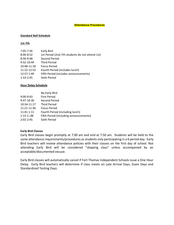# **Attendance Procedures**

# **Standard Bell Schedule**

# **1st-7th**

| $7:05 - 7:56$ | Early Bird                                      |
|---------------|-------------------------------------------------|
| $8:00 - 8:52$ | 1st Period (2nd-7th students do not attend 1st) |
| 8:56-9:48     | Second Period                                   |
| 9:52-10:44    | <b>Third Period</b>                             |
| 10:48-11:18   | <b>Focus Period</b>                             |
| 11:22-12:53   | Fourth Period (includes lunch)                  |
| 12:57-1:49    | Fifth Period (includes announcements)           |
| $1:53-2:45$   | Sixth Period                                    |

# **Hour Delay Schedule**

|               | No Early Bird                          |  |
|---------------|----------------------------------------|--|
| $9:00 - 9:43$ | <b>First Period</b>                    |  |
| 9:47-10:30    | Second Period                          |  |
| 10:34-11:17   | <b>Third Period</b>                    |  |
| 11:21-11:36   | <b>Focus Period</b>                    |  |
| 11:41-1:11    | Fourth Period (including lunch)        |  |
| $1:15-1::48$  | Fifth Period (including announcements) |  |
| $2:02 - 2:45$ | Sixth Period                           |  |

# **Early Bird Classes**

Early Bird classes begin promptly at 7:00 am and end at 7:50 am. Students will be held to the same attendance requirements/procedures as students only participating in a 6 period day. Early Bird teachers will review attendance policies with their classes on the first day of school. Not attending Early Bird will be considered "skipping class" unless accompanied by an acceptable/documented excuse.

Early Bird classes will automatically cancel if Fort Thomas Independent Schools issue a One Hour Delay. Early Bird teachers will determine if class meets on Late Arrival Days, Exam Days and Standardized Testing Days.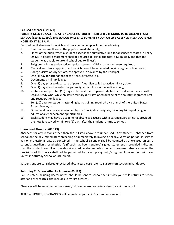# **Excused Absences (09.123)**

# **PARENTS NEED TO CALL THE ATTENDANCE HOTLINE IF THEIR CHILD IS GOING TO BE ABSENT FROM SCHOOL (859.815.2699). THE SCHOOL WILL CALL TO VERIFY YOUR CHILD'S ABSENCE IF SCHOOL IS NOT NOTIFIED BY 8:15 A.M.**

Excused pupil absences for which work may be made up include the following:

- 1. Death or severe illness in the pupil's immediate family,
- 2. Illness of the pupil (when a student exceeds the cumulative limit for absences as stated in Policy 09.123, a doctor's statement shall be required to certify the total days missed, and that the student was unable to attend school due to illness).
- 3. Religious holidays and practices, (prior approval of Principal or designee required),
- 4. Medical and dental appointments which cannot be scheduled outside regular school hours,
- 5. College visitations by seniors, as approved in advance by the Principal,
- 6. One (1) day for attendance at the Kentucky State Fair,
- 7. Documented military leave,
- 8. One (1) day prior to departure of parent/guardian called to active military duty,
- 9. One (1) day upon the return of parent/guardian from active military duty,
- 10. Visitation for up to ten (10) days with the student's parent, de facto custodian, or person with legal custody who, while on active military duty stationed outside of the country, is granted rest and recuperation leave,
- 11. Ten (10) days for students attending basic training required by a branch of the United States Armed Forces, or
- 12. Other valid reasons as determined by the Principal or designee, including trips qualifying as educational enhancement opportunities
- 13. Each student may have up to nine (9) absences excused with a parent/guardian note, provided the note is received within two (2) days after the student returns to school.

# **Unexcused Absences (09.123)**

Absences for any reasons other than those listed above are unexcused. Any student's absence from school on the day immediately preceding or immediately following a holiday, vacation period, in-service day or professional day, as contained in the school calendar shall be counted as unexcused unless a parent's, guardian's, or physician's (if such has been required) signed statement is provided indicating that the student was ill on the day(s) missed. A student who has an unexcused absence under the provisions of this policy shall not be permitted to make up any tests/assignments missed on said days unless in Saturday School at 50% credit.

Suspensions are considered unexcused absences; please refer to **Suspension** section in handbook.

# **Returning To School After An Absence (09.123)**

Excuse notes, including doctor notes, should be sent to school the first day your child returns to school after an absence (this also includes Early Bird Classes).

Absences will be recorded as unexcused, without an excuse note and/or parent phone call.

AFTER 48 HOURS, NO CHANGES will be made to your child's attendance record.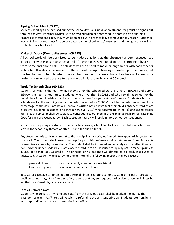# **Signing Out of School (09.123)**

Students needing to be excused during the school day (i.e. illness, appointment, etc.) must be signed out through the Asst. Principal's/Nurse's Office by a guardian or another adult approved by a guardian. Regardless of student's age, they must be signed out in order to leave campus for any reason. Students leaving ill from school must first be evaluated by the school nurse/nurse asst. and then guardians will be contacted by school staff.

# **Make-Up Work (Due to Absences) (09.123)**

All school work will be permitted to be made-up as long as the absence has been excused (see list of approved excused absences). All of these excuses will need to be accompanied by a note from home and phone call. The student will then need to make arrangements with each teacher as to when this should be made up. The student has up to ten days to make up missed work, but the teacher will schedule when this can be done, with no exceptions. Teachers will allow work during an unexcused absence to be made up in Saturday School at 50% credit.

# **Tardy To School/Class (09.123)**

Students arriving in the Ft. Thomas schools after the scheduled starting time of 8:00AM and before 8:30AM shall be marked tardy. Students who arrive after 8:30AM and who remain at school for the remainder of the school day shall be recorded as absent for a percentage of the day. Students who are in attendance for the morning session but who leave before 2:00PM shall be recorded as absent for a percentage of the day. Parents will receive a written notice if we feel their child's absences/tardies are excessive. Students in grades nine through twelve (9-12) who accumulate three (3) unexcused tardies during each semester shall be subject to consequences outlined in the Highlands High School Discipline Code for each unexcused tardy. Each subsequent tardy will result in more school consequences.

Students participating in extracurricular activities missing school due to illness need to be at school for at least ½ the school day (before or after 11:00 is the cut-off time).

Any student who is tardy must report to the principal or his designee immediately upon arriving/returning to school. The student shall present to the principal or his designee a written statement from his parents or guardian stating why he was tardy. The student shall be informed immediately as to whether it was an excused or an unexcused tardy. Class work missed due to an unexcused tardy may not be made up (unless in Saturday School at 50% credit). The principal or his designee will determine if a tardy is excused or unexcused. A student who is tardy for one or more of the following reasons shall be excused:

| personal illness | death of a family member or close friend |
|------------------|------------------------------------------|
| family emergency | illness in the immediate family          |

In cases of excessive tardiness due to personal illness, the principal or assistant principal or director of pupil personnel may, at his/her discretion, require that any subsequent tardies due to personal illness be verified by a signed physician's statement.

# **Tardies Between Class**

Students who are late arriving to one class from the previous class, shall be marked ABSENT by the classroom teacher. A 3<sup>rd</sup> tardy will result in a referral to the assistant principal. Students late from lunch must report directly to the assistant principal's office.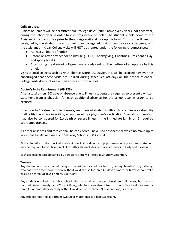# **College Visits**

Juniors or Seniors will be permitted four "college days" (cumulative over 2 years, not each year) during the school year in order to visit prospective schools. The student should come to the Assistant Principal's office **prior to the college visit** and pick up the form. This form will need to be signed by the student, parent or guardian, college admissions counselor or a designee, and the assistant principal. College visits will **NOT** be granted under the following circumstances:

- At least 24 hours of notice
- Before or after any school holiday (e.g., KEA, Thanksgiving, Christmas, President's Day, and spring break).
- After spring break (most colleges have already sent out their letters of acceptance by this time).

Visits to local colleges such as NKU, Thomas More, UC, Xavier, etc. will be excused however it is encouraged that these visits are utilized during scheduled off days on the school calendar. College visits do count as excused absences from school.

# **Doctor's Note Requirement (09.123)**

After a total of ten (10) days of absence due to illness, students are required to present a written statement from a physician for each additional absence for the school year in order to be excused.

Exception to 10-absence Rule: Parents/guardians of students with a chronic illness or disability shall notify the school in writing, accompanied by a physician's verification. Special consideration may also be considered for (1) death or severe illness in the immediate family or (2) required court appearances.

All other absences and tardies shall be considered unexcused absences for which no make-up of work shall be allowed unless in Saturday School at 50% credit.

At the discretion of the principal, assistant principal, or director of pupil personnel, a physician's statement may be required for verification of illness (this also includes excessive absences to Early Bird Classes).

Each absence not accompanied by a Doctor's Note will result in Saturday Detention.

# **Truancy**

Any student who has attained the age of six (6), but has not reached his/her eighteenth (18th) birthday, who has been absent from school without valid excuse for three (3) days or more, or tardy without valid excuse on three (3) days or more, is a truant.

Any student enrolled in a public school who has attained the age of eighteen (18) years, but has not reached his/her twenty-first (21st) birthday, who has been absent from school without valid excuse for three (3) or more days, or tardy without valid excuse on three (3) or more days, is a truant.

Any student reported as a truant two (2) or more times is a habitual truant.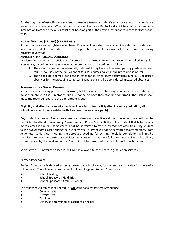For the purposes of establishing a student's status as a truant, a student's attendance record is cumulative for an entire school year. When students transfer from one Kentucky district to another, attendance information from the previous district shall become part of their official attendance record for that school year.

# **No Pass/No Drive (09.4294) (KRS 159.051)**

Students who are sixteen (16) or seventeen (17) years old who become academically deficient or deficient in attendance shall be reported to the Transportation Cabinet for driver's license, permit or driving privilege revocation.<sup>1</sup>

# **ACADEMIC AND ATTENDANCE DEFICIENCIES**

Academic and attendance deficiencies for students age sixteen (16) or seventeen (17) enrolled in regular, alternative, part-time, and special education programs shall be defined as follows:

- 1. They shall be deemed academically deficient if they have not received passing grades in at least four (4) courses, or the equivalent of four (4) courses, taken in the preceding semester.
- 2. They shall be deemed deficient in attendance when they accumulate nine (9) unexcused absences for the preceding semester. Suspensions shall be considered unexcused absences.

# **REINSTATEMENT OF DRIVING PRIVILEGE**

Students whose driving permits are revoked, but later meet the statutory standards for reinstatement, must then apply to the Director of Pupil Personnel to have their standing confirmed. The District shall make the required report to the appropriate agency.

# **Eligibility and attendance requirements will be a factor for participation in senior graduation, all school dances and dance related activities (see previous paragraph).**

Any student amassing 9 or more unexcused absences collectively during the school year will not be permitted to attend Homecoming, Sweethearts or Prom/Prom Activities. Any student that failed two or more classes in the first semester will not be permitted to attend Prom/Prom Activities. Any student failing two or more classes during the eligibility week of Prom will not be permitted to attend Prom/Prom Activities. Seniors not meeting the approved deadline for Writing Portfolio completion will not be permitted to attend Prom/Prom Activities. Any students that have failed to meet assigned disciplinary consequences by the weekend of the Prom will not be permitted to attend Prom/Prom Activities.

Seniors with 9+ unexcused absences will not be allowed to participate in graduation services.

# **Perfect Attendance**

Perfect Attendance is defined as being present at school each, for the entire school day for the entire school year. The following absences **will not** count against Perfect Attendance:

- School Testing
- School Sponsored Field Trips
- School Sponsored Athletic Events

The following examples (not limited to) **will** count against Perfect Attendance:

- College Visits
- Driver's Test
- Tardiness
- Other, as determined by assistant principal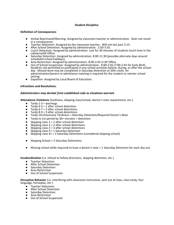# **Student Discipline**:

### **Definition of Consequences**:

- Verbal Reprimand/Warning: Assigned by classroom teacher or administration. Does not result in a consequence.
- Teacher Detention: Assigned by the classroom teacher. Will not last past 3:15.
- After School Detention: Assigned by administration. 2:50-3:35.
- Lunch Detention: Assigned by administration. Last for 30 minutes of students lunch time in the cafeteria/AP Office.
- Saturday Detention: Assigned by administration. 8:00-11:30 (possible alternate days around scheduled school holidays).
- Area Restriction: Assigned by administration. 8:00-2:45 in AP Office.
- Out of School Suspension: Assigned by administration. 8:00-2:45 (7:00-2:45 for Early Bird). Students not permitted to participate in any school activities before, during, or after the school day. Missed work may be completed in Saturday Detention at 50% credit. An administration/parent re-admittance meeting is required for the student to reenter school setting.
- Expulsion: Assigned by Local Board of Education.

### **Infractions and Resolutions**:

### *Administrators may deviate from established code as situations warrant.*

**Attendance Violations** (tardiness, skipping class/school, doctor's note requirement, etc.)

- $\bullet$  Tardy 1-3 = warnings
- Tardy  $4-5 = 1$  after school detention
- Tardy 6-7 = 2 after school detentions<br>• Tardy 8-9 = 3 after school detentions
- Tardy  $8-9 = 3$  after school detentions
- Tardy 10+/Excessive Tardiness = Saturday Detention/Required Doctor's Note
- $\bullet$  Tardy to 1st period by 30+ minutes = detention
- Skipping class  $1 = 1$  after school detention
- Skipping class  $2 = 2$  after school detentions
- Skipping class  $3 = 3$  after school detentions
- Skipping class  $4 = 1$  Saturday Detention
- Skipping class  $4+$  = 2 Saturday Detentions (considered skipping school)
- Skipping School = 2 Saturday Detentions
- Missing school while required to have a doctor's note = 1 Saturday Detention for each day out.

# **Insubordination** (i.e. refusal to follow directions, skipping detention, etc.)

- **Teacher Detention**
- After School Detention
- Saturday Detention
- Area Restriction
- Out of School Suspension

#### **Disruptive Behavior** (i.e. interfering with classroom instruction, sent out of class, class tardy, foul language, horseplay, etc.)

- Teacher Detention
- After School Detention
- Saturday Detention
- Area Restriction
- Out of School Suspension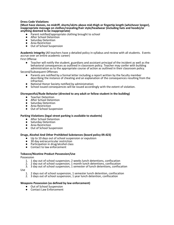### **Dress Code Violations**

**(Must have sleeves, no midriff, shorts/skirts above mid-thigh or fingertip length (whichever longer), inappropriate message on clothes/revealing/hair style/headwear (including hats and hoods)/or anything deemed to be inappropriate)**

- Parent notified/appropriate clothing brought to school<br>● After School Detention
- After School Detention
- **Saturday Detention**
- Area Restriction
- Out of School Suspension

**Academic Integrity** (All teachers have a detailed policy in syllabus and review with all students. Events accrue over an entire academic career)

First Offense

Teacher will notify the student, guardians and assistant principal of the incident as well as the behavioral consequences as outlined in classroom policy. Teacher may confer with building administration as to the appropriate course of action as outlined in their classroom policy.

Second/Subsequent Offenses

- Parents are notified by a formal letter including a report written by the faculty member describing the instance of cheating and an explanation of the consequences resulting from the infraction.
- National Honor Society notified by administration
- School issued consequences will be issued accordingly with the extent of violation.

#### **Disrespectful/Rude Behavior (directed to any adult or fellow student in the building)**

- Teacher Detention
- After School Detention
- **Saturday Detention**
- Area Restriction
- Out of School Suspension

#### **Parking Violations (legal street parking is available to students)**

- After School Detention
- Saturday Detention
- Area Restriction
- Out of School Suspension

#### **Drugs, Alcohol And Other Prohibited Substances (board policy 09.423)**

- Up to 10 days out of school suspension or expulsion<br>● 30 day extracurricular restriction
- 30 day extracurricular restriction<br>● Particination in drug/alcohol class
- Participation in drug/alcohol class
- Contact to law enforcement

# **Tobacco/Nicotine Product Possession/Use**

Possession

- 1. 1 day out of school suspension, 2 weeks lunch detentions, confiscation
- 2. 2 day out of school suspension, 1 month lunch detentions, confiscation
- 3. 3 day out of school suspension, 1 semester of lunch detentions, confiscation

### Use

- 1. 2 days out of school suspension, 1 semester lunch detention, confiscation
- 2. 3 days out of school suspension, 1 year lunch detention, confiscation

#### **Weapons Possession (as defined by law enforcement)**

- Out of School Suspension
- Contact Law Enforcement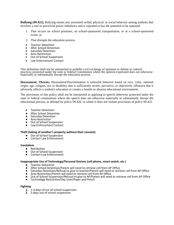**Bullying (09.422),** Bullying means any unwanted verbal, physical, or social behavior among students that involves a real or perceived power imbalance and is repeated or has the potential to be repeated:

- 1. That occurs on school premises, on school-sponsored transportation, or at a school-sponsored event: or
- 2. That disrupts the education process.
- Teacher Detention
- After School Detention<br>• Saturday Detention
- Saturday Detention
- Area Restriction
- Out of School Suspension
- Law Enforcement Contact

This definition shall not be interpreted to prohibit civil exchange of opinions or debate or cultural practices protected under the state or federal Constitution where the opinion expressed does not otherwise materially or substantially disrupt the education process.

**Harassment, Threats,** Harassment/Discrimination is unlawful behavior based on race, color, national origin, age, religion, sex or disability that is sufficiently severe, pervasive, or objectively offensive that it adversely affects a student's education or creates a hostile or abusive educational environment.

The provisions of this policy shall not be interpreted as applying to speech otherwise protected under the state or federal constitutions where the speech does not otherwise materially or substantially disrupt the educational process, as defined by policy 09.426, or where it does not violate provisions of policy 09.422.

- Teacher Detention
- After School Detention
- Saturday Detention
- Area Restriction
- Out of School Suspension
- Law Enforcement Contact

### **Theft (taking of another's property without their consent)**

- Out of School Suspension
- Contact Law Enforcement

### **Vandalism**

- Retribution
- Out of School Suspension
- Contact Law Enforcement

### **Inappropriate Use of Technology/Personal Devices (cell phone, smart watch, etc.)**

- Teacher Detention
- 
- After School Detention/Parent will need to retrieve cell from AP Office<br>● Saturday Detention/Refusal to give to teacher/Parent will need to retri<br>● Area Restriction/Parent will need to retrieve cell from AP Office Saturday Detention/Refusal to give to teacher/Parent will need to retrieve cell from AP Office
- Area Restriction/Parent will need to retrieve cell from AP Office
- Out of School Suspension/Refusal to give to AP/Parent will need to retrieve cell from AP Office
- Technology Restriction/Day User/Paper and Pencil

### **Fighting**

- **1.** 1-3 days of out of school suspension
- **2.** 5 days out of school suspension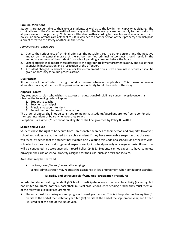# **Criminal Violations**

Students are accountable to their role as students, as well as to the law in their capacity as citizens. The criminal laws of the Commonwealth of Kentucky and of the federal government apply to the conduct of all persons on school property. Violations will be dealt with according to these laws and local school board policy. Criminal offenses are acts that result in violence to another person or their property or which pose a direct threat to the safety of others in the school.

# *Administrative Procedures*

- 1. Due to the seriousness of criminal offenses, the possible threat to other persons, and the negative impact on the general morale of the school, verified criminal misconduct should result in the immediate removal of the student from school, pending a hearing before the Board.
- 2. School officials shall report these offenses to the appropriate law enforcement agency and assist these agencies in investigation and prosecution of the offender.
- 3. A student charged by school officials or law enforcement officials with criminal misconduct shall be given opportunity for a due process action.

### **Due Process**

Students shall be afforded the right of due process whenever applicable. This means whenever altercations occur, students will be provided an opportunity to tell their side of the story.

### **Appeals Process**

Any student/guardian who wishes to express an educational/disciplinary concern or grievance shall observe the following order of appeal:

- 1. Student to teacher
- 2. Teacher to principal
- 3. Principal to superintendent
- 4. Superintendent to board of education

The order of appeal shall not be construed to mean that students/guardians are not free to confer with the superintendent or board whenever they so wish.

Exception: Harassment/discrimination allegations shall be governed by Policy 09.42811.

### **Search and Seizure**

Students have the right to be secure from unreasonable searches of their person and property. However, school authorities are authorized to search a student if they have reasonable suspicion that the search will reveal evidence that the student has violated or is violating this Code or a school rule or the law. Also, school authorities may conduct general inspections of jointly held property on a regular basis. All searches will be conducted in accordance with Board Policy 09.436. Students cannot expect to have complete privacy in their use of school property assigned for their use, such as desks and lockers.

Areas that may be searched:

● Lockers/desks/Person/personal belongings School administration may request the assistance of law enforcement when conducting searches.

# **Eligibility and Extracurricular/Activities Participation Procedures**

In order for students at Highlands High School to participate in any extracurricular activity (including, but not limited to, drama, football, basketball, musical productions, cheerleading, track), they must meet all of the following eligibility requirements:

Students must be making normal progress toward graduation. This is interpreted as having five (5) credits at the end of the freshman year, ten (10) credits at the end of the sophomore year, and fifteen (15) credits at the end of the junior year.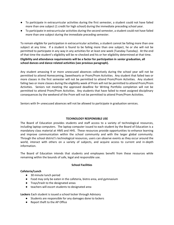- To participate in extracurricular activities during the first semester, a student could not have failed more than one subject (1 credit for high school) during the immediate preceding school year.
- To participate in extracurricular activities during the second semester, a student could not have failed more than one subject during the immediate preceding semester.

To remain eligible for participation in extracurricular activities, a student cannot be failing more than one subject at any time. If a student is found to be failing more than one subject, he or she will not be permitted to participate in any way in any activities for at least one week (Tuesday-Tuesday). At the end of that time the student's eligibility will be re-checked and his or her eligibility determined at that time. **Eligibility and attendance requirements will be a factor for participation in senior graduation, all school dances and dance related activities (see previous paragraph).** 

Any student amassing 9 or more unexcused absences collectively during the school year will not be permitted to attend Homecoming, Sweethearts or Prom/Prom Activities. Any student that failed two or more classes in the first semester will not be permitted to attend Prom/Prom Activities. Any student failing two or more classes during the eligibility week of Prom will not be permitted to attend Prom/Prom Activities. Seniors not meeting the approved deadline for Writing Portfolio completion will not be permitted to attend Prom/Prom Activities. Any students that have failed to meet assigned disciplinary consequences by the weekend of the Prom will not be permitted to attend Prom/Prom Activities.

Seniors with 9+ unexcused absences will not be allowed to participate in graduation services.

# **TECHNOLOGY RESPONSIBLE USE**

The Board of Education provides students and staff access to a variety of technological resources, including laptop computers. The laptop computer issued to each student by the Board of Education is a mandatory class material at HMS and HHS. These resources provide opportunities to enhance learning and improve communication within the school community and with the larger global community. Through the school district's technological resources, users can observe events as they occur around the world, interact with others on a variety of subjects, and acquire access to current and in-depth information.

The Board of Education intends that students and employees benefit from these resources while remaining within the bounds of safe, legal and responsible use.

# **School Facilities**

# **Cafeteria/Lunch**

- 30 minute lunch period
- Food may only be eaten in the cafeteria, bistro area, and gymnasium
- Trays/trash to the designated areas
- teachers will escort students to designated area

**Lockers** Each student is issued a school locker through Advisory

- Students are responsible for any damages done to lockers
- Report theft to the AP Office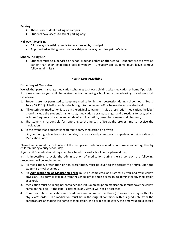# **Parking**

- There is no student parking on campus
- Students have access to street parking only

# **Hallway Advertising**

- All hallway advertising needs to be approved by principal
- Approved advertising must use cork strips in hallways or blue painter's tape

# **School/Facility Use**

● Students must be supervised on school grounds before or after school. Students are to arrive no earlier than their established arrival window. Unsupervised students must leave campus following dismissal.

# **Health Issues/Medicine**

# **Dispensing of Medication**

We ask that parents arrange medication schedules to allow a child to take medication at home if possible. If it is necessary for your child to receive medication during school hours, the following procedures must be followed:

- 1. Students are not permitted to keep any medication in their possession during school hours (Board Policy 09.2241). Medication is to be brought to the nurse's office before the school day begins.
- 2. All Prescription medication is to be in the original container. If it is a prescription medication, the label should include the student's name, date, medication dosage, strength and directions for use, which includes frequency, duration and mode of administration, prescriber's name and pharmacy.
- 3. The student is responsible for reporting to the nurses' office at the proper time to receive the medication.
- 4. In the event that a student is required to carry medication on or with him/her during school hours, i.e.: inhaler, the doctor and parent must complete an Administration of Medication Form.

Please keep in mind that school is not the best place to administer medication-doses can be forgotten by children during a busy school day.

If your child's medication dosage can be altered to avoid school hours, please do so.

If it is impossible to avoid the administration of medication during the school day, the following procedures will be implemented:

- 1. All medication, prescription or non-prescription, must be given to the secretary or nurse upon the student's arrival at school.
- 2. An **Administration of Medication Form** must be completed and signed by you and your child's physician. This form is available from the school office and is necessary to administer any medication at school.
- 3. Medication must be in original container and if it is a prescription medication, it must have the child's name on the label. If the label is altered in any way, it will not be accepted.
- 4. Non-prescription medication will be administered no more than three (3) consecutive days without a physician's order. The medication must be in the original container with a signed note from the parent/guardian stating the name of medication, the dosage to be given, the time your child should